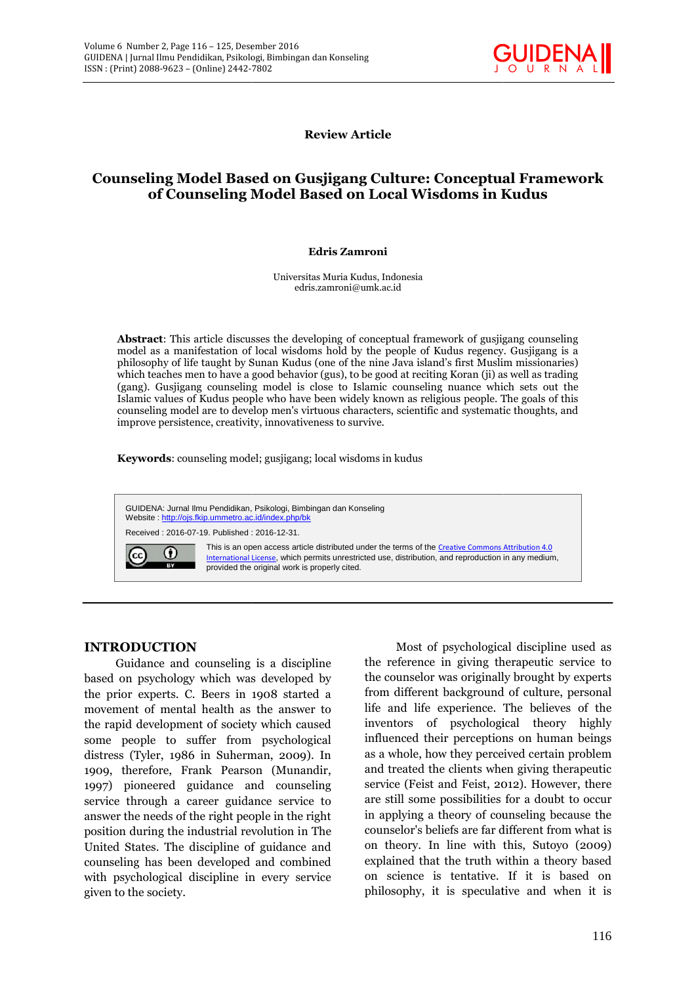

**Review Article Review**

# **Counseling Model Based on Gusjigang Culture: Conceptual Framework of Counseling Model Based on Local Wisdoms in Kudus Kudus**

#### **Edris Zamroni Zamroni**

Universitas Muria Kudus, Indonesia Muria Kudus, edris.zamroni@umk.ac.id

**Abstract**: This article discusses the developing of conceptual framework of gusjigang counseling model as a manifestation of local wisdoms hold by the people of Kudus regency. Gusjigang is a philosophy of life taught by Sunan Kudus (one of the nine Java island's first Muslim missionaries) philosophy which teaches men to have a good behavior (gus), to be good at reciting Koran (ji) as well as trading (gang). Gusjigang counseling model is close to Islamic counseling nuance which sets out the Islamic values of Kudus people who have been widely known as religious people. The goals of this which teaches men to have a good behavior (gus), to be good at reciting Koran (ji) as well as trading<br>(gang). Gusjigang counseling model is close to Islamic counseling nuance which sets out the<br>Islamic values of Kudus peop improve persistence, creativity, innovativeness to survive. This article discusses the developing of conceptual framework of gusjigang counseling manifestation of local wisdoms hold by the people of Kudus regency. Gusjigang is a of life taught by Sunan Kudus (one of the nine Java i

improve persistence, creativity, innovativeness to survive.<br>**Keywords**: counseling model; gusjigang; local wisdoms in kudus

GUIDENA: Jurnal Ilmu Pendidikan, Psikologi, Bimbingan dan Konseling Website : <u>http://ojs.fkip.ummetro.ac.id/index.php/bk</u> GUIDENA: Jurnal Ilmu Pendidikan, Psikologi, Bimbin<br>Website : <u>http://ojs.fkip.ummetro.ac.id/index.php/bk</u><br>Received : 2016-07-19. Published : 2016-12-31.

Received : 2016-07-19. Published : 2016-12-31.



This is an open access article distributed under the terms of the <u>Creative Commons Attribution 4.0</u> International License, which permits unrestricted use, distribution, and reproduction in any medium, provided the original work is properly cited. properly cited.

### **INTRODUCTION INTRODUCTION**

Guidance and counseling is a discipline based on psychology which was developed by the prior experts. C. Beers in 1908 started a movement of mental health as the answer to the rapid development of society which caused Guidance and counseling is a discipline<br>based on psychology which was developed by<br>the prior experts. C. Beers in 1908 started a<br>movement of mental health as the answer to<br>the rapid development of society which caused<br>some distress (Tyler, 1986 in Suherman, 2009). In 1909, therefore, Frank Pearson (Munandir, 1997) pioneered guidance and counseling<br>1997) pioneered guidance and counseling se service through a career guidance service to answer the needs of the right people in the right position during the industrial revolution in The United States. The discipline of guidance and counseling has been developed and combined with psychological discipline in every service given to the society.

Most of psychological discipline used as the reference in giving therapeutic service to the counselor was originally brought by experts<br>from different background of culture, personal<br>life and life experience. The believes of the from different background of culture, personal life and life experience. The believes of the inventors of psychological theory highly influenced their perceptions on human beings as a whole, how they perceived certain problem and treated the clients when giving therapeutic influenced their perceptions on human beings<br>as a whole, how they perceived certain problem<br>and treated the clients when giving therapeutic<br>service (Feist and Feist, 2012). However, there are still some possibilities for a doubt to occur in applying a theory of counseling because the counselor's beliefs are far different from what is on theory. In line with this, Sutoyo (2009) explained that the truth within a theory based on science is tentative. If it is based on philosophy, it is speculative and when it is **IOCTION**<br>
Most of psychological discipline used as<br>
stychology which was developed by<br>
the counselor was originally brought by experts<br>
stychology which was developed by<br>
the counsel in the counselor was originally brough In the state of the state of the state of the state of the state of the state of the state of the state of the state of the state of the state of the state of the state of the state of the state of the state of the state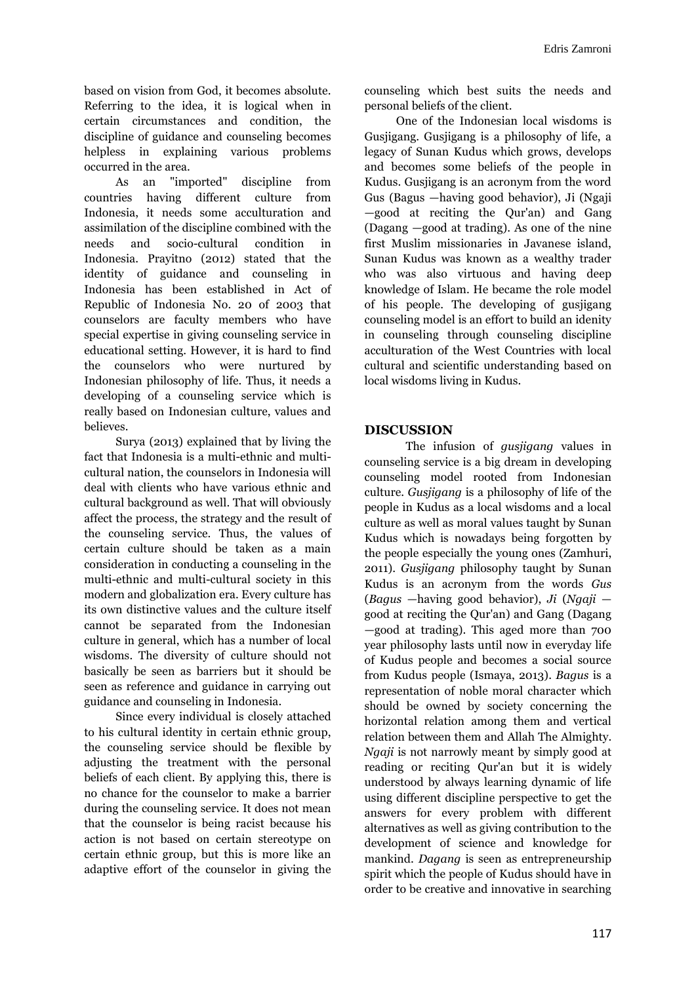based on vision from God, it becomes absolute. Referring to the idea, it is logical when in certain circumstances and condition, the discipline of guidance and counseling becomes helpless in explaining various problems occurred in the area.

As an "imported" discipline from countries having different culture from Indonesia, it needs some acculturation and assimilation of the discipline combined with the needs and socio-cultural condition in Indonesia. Prayitno (2012) stated that the identity of guidance and counseling in Indonesia has been established in Act of Republic of Indonesia No. 20 of 2003 that counselors are faculty members who have special expertise in giving counseling service in educational setting. However, it is hard to find the counselors who were nurtured by Indonesian philosophy of life. Thus, it needs a developing of a counseling service which is really based on Indonesian culture, values and believes.

Surya (2013) explained that by living the fact that Indonesia is a multi-ethnic and multi cultural nation, the counselors in Indonesia will deal with clients who have various ethnic and cultural background as well. That will obviously affect the process, the strategy and the result of the counseling service. Thus, the values of certain culture should be taken as a main consideration in conducting a counseling in the multi-ethnic and multi-cultural society in this modern and globalization era. Every culture has its own distinctive values and the culture itself cannot be separated from the Indonesian culture in general, which has a number of local wisdoms. The diversity of culture should not basically be seen as barriers but it should be seen as reference and guidance in carrying out guidance and counseling in Indonesia.

Since every individual is closely attached to his cultural identity in certain ethnic group, the counseling service should be flexible by adjusting the treatment with the personal beliefs of each client. By applying this, there is no chance for the counselor to make a barrier during the counseling service. It does not mean that the counselor is being racist because his action is not based on certain stereotype on certain ethnic group, but this is more like an adaptive effort of the counselor in giving the

counseling which best suits the needs and personal beliefs of the client.

One of the Indonesian local wisdoms is Gusjigang. Gusjigang is a philosophy of life, a legacy of Sunan Kudus which grows, develops and becomes some beliefs of the people in Kudus. Gusjigang is an acronym from the word Gus (Bagus —having good behavior), Ji (Ngaji —good at reciting the Qur'an) and Gang (Dagang —good at trading). As one of the nine first Muslim missionaries in Javanese island, Sunan Kudus was known as a wealthy trader who was also virtuous and having deep knowledge of Islam. He became the role model of his people. The developing of gusjigang counseling model is an effort to build an idenity in counseling through counseling discipline acculturation of the West Countries with local cultural and scientific understanding based on local wisdoms living in Kudus.

### **DISCUSSION**

The infusion of *gusjigang* values in counseling service is a big dream in developing counseling model rooted from Indonesian culture. *Gusjigang* is a philosophy of life of the people in Kudus as a local wisdoms and a local culture as well as moral values taught by Sunan Kudus which is nowadays being forgotten by the people especially the young ones (Zamhuri, 2011). *Gusjigang* philosophy taught by Sunan Kudus is an acronym from the words *Gus* (*Bagus* —having good behavior), *Ji* (*Ngaji* good at reciting the Qur'an) and Gang (Dagang —good at trading). This aged more than 700 year philosophy lasts until now in everyday life of Kudus people and becomes a social source from Kudus people (Ismaya, 2013). *Bagus* is a representation of noble moral character which should be owned by society concerning the horizontal relation among them and vertical relation between them and Allah The Almighty. *Ngaji* is not narrowly meant by simply good at reading or reciting Qur'an but it is widely understood by always learning dynamic of life using different discipline perspective to get the answers for every problem with different alternatives as well as giving contribution to the development of science and knowledge for mankind. *Dagang* is seen as entrepreneurship spirit which the people of Kudus should have in order to be creative and innovative in searching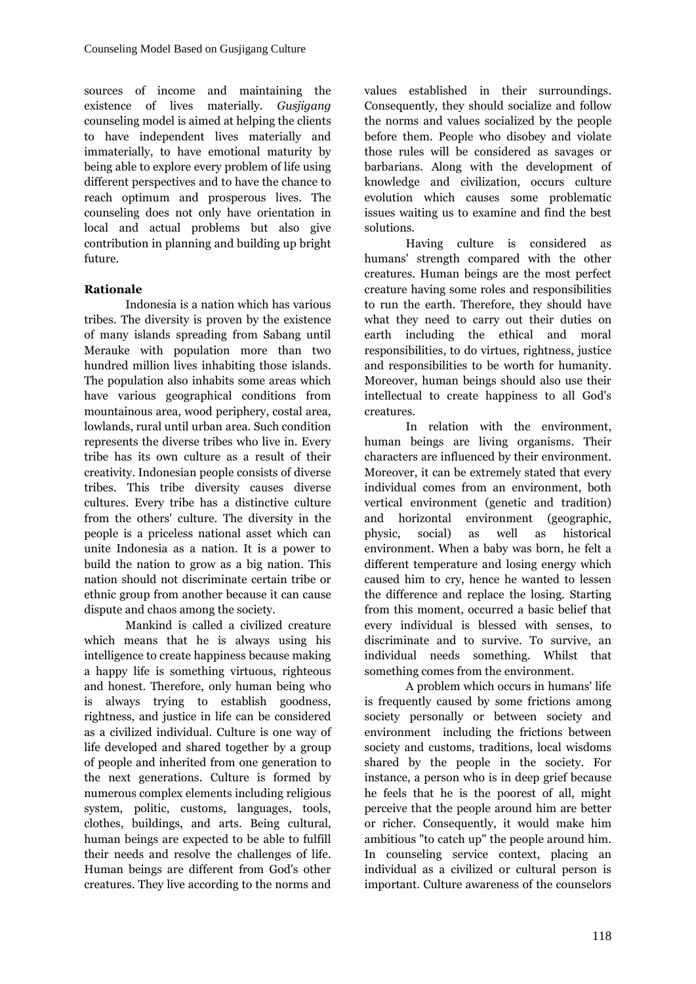sources of income and maintaining the existence of lives materially. *Gusjigang* counseling model is aimed at helping the clients to have independent lives materially and immaterially, to have emotional maturity by being able to explore every problem of life using different perspectives and to have the chance to reach optimum and prosperous lives. The counseling does not only have orientation in local and actual problems but also give contribution in planning and building up bright future.

### **Rationale**

Indonesia is a nation which has various tribes. The diversity is proven by the existence of many islands spreading from Sabang until Merauke with population more than two hundred million lives inhabiting those islands. The population also inhabits some areas which have various geographical conditions from mountainous area, wood periphery, costal area, lowlands, rural until urban area. Such condition represents the diverse tribes who live in. Every tribe has its own culture as a result of their creativity. Indonesian people consists of diverse tribes. This tribe diversity causes diverse cultures. Every tribe has a distinctive culture from the others' culture. The diversity in the people is a priceless national asset which can unite Indonesia as a nation. It is a power to build the nation to grow as a big nation. This nation should not discriminate certain tribe or ethnic group from another because it can cause dispute and chaos among the society.

Mankind is called a civilized creature which means that he is always using his intelligence to create happiness because making a happy life is something virtuous, righteous and honest. Therefore, only human being who is always trying to establish goodness, rightness, and justice in life can be considered as a civilized individual. Culture is one way of life developed and shared together by a group of people and inherited from one generation to the next generations. Culture is formed by numerous complex elements including religious system, politic, customs, languages, tools, clothes, buildings, and arts. Being cultural, human beings are expected to be able to fulfill their needs and resolve the challenges of life. Human beings are different from God's other creatures. They live according to the norms and values established in their surroundings. Consequently, they should socialize and follow the norms and values socialized by the people before them. People who disobey and violate those rules will be considered as savages or barbarians. Along with the development of knowledge and civilization, occurs culture evolution which causes some problematic issues waiting us to examine and find the best solutions.

Having culture is considered as humans' strength compared with the other creatures. Human beings are the most perfect creature having some roles and responsibilities to run the earth. Therefore, they should have what they need to carry out their duties on earth including the ethical and moral responsibilities, to do virtues, rightness, justice and responsibilities to be worth for humanity. Moreover, human beings should also use their intellectual to create happiness to all God's creatures.

In relation with the environment, human beings are living organisms. Their characters are influenced by their environment. Moreover, it can be extremely stated that every individual comes from an environment, both vertical environment (genetic and tradition) environment (geographic, social) as well as historical environment. When a baby was born, he felt a different temperature and losing energy which caused him to cry, hence he wanted to lessen the difference and replace the losing. Starting from this moment, occurred a basic belief that every individual is blessed with senses, to discriminate and to survive. To survive, an individual needs something. Whilst that something comes from the environment.

A problem which occurs in humans' life is frequently caused by some frictions among society personally or between society and environment including the frictions between society and customs, traditions, local wisdoms shared by the people in the society. For instance, a person who is in deep grief because he feels that he is the poorest of all, might perceive that the people around him are better or richer. Consequently, it would make him ambitious "to catch up" the people around him. In counseling service context, placing an individual as a civilized or cultural person is important. Culture awareness of the counselors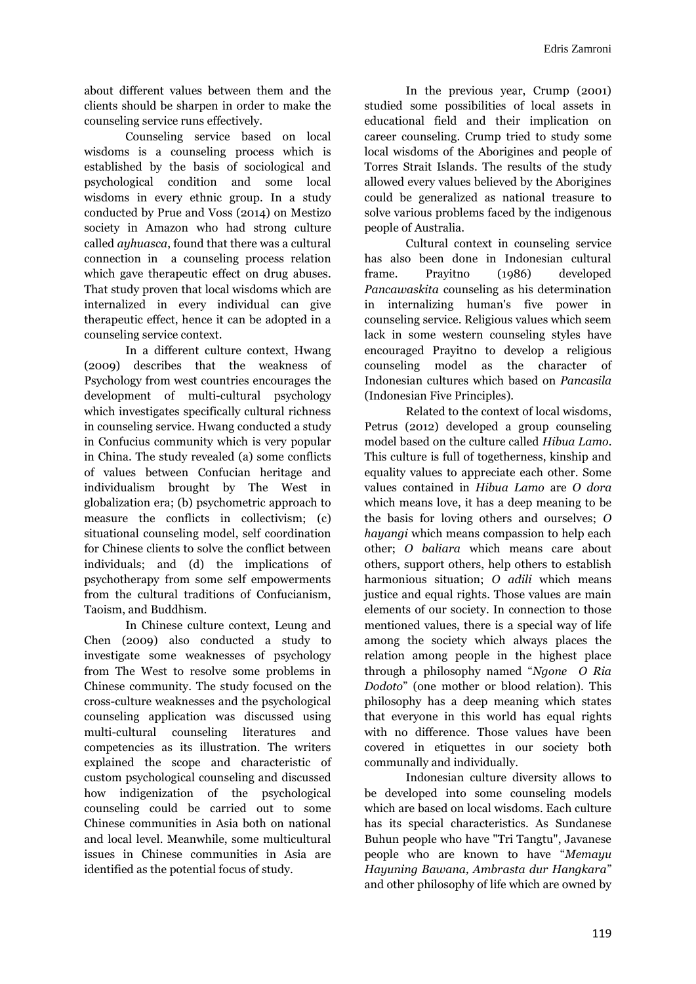about different values between them and the clients should be sharpen in order to make the counseling service runs effectively.

Counseling service based on local wisdoms is a counseling process which is established by the basis of sociological and psychological condition and some local wisdoms in every ethnic group. In a study conducted by Prue and Voss (2014) on Mestizo society in Amazon who had strong culture called *ayhuasca*, found that there was a cultural connection in a counseling process relation which gave therapeutic effect on drug abuses. That study proven that local wisdoms which are internalized in every individual can give therapeutic effect, hence it can be adopted in a counseling service context.

In a different culture context, Hwang (2009) describes that the weakness of Psychology from west countries encourages the development of multi-cultural psychology which investigates specifically cultural richness in counseling service. Hwang conducted a study in Confucius community which is very popular in China. The study revealed (a) some conflicts of values between Confucian heritage and individualism brought by The West in globalization era; (b) psychometric approach to measure the conflicts in collectivism; (c) situational counseling model, self coordination for Chinese clients to solve the conflict between individuals; and (d) the implications of psychotherapy from some self empowerments from the cultural traditions of Confucianism, Taoism, and Buddhism.

In Chinese culture context, Leung and Chen (2009) also conducted a study to investigate some weaknesses of psychology from The West to resolve some problems in Chinese community. The study focused on the cross-culture weaknesses and the psychological counseling application was discussed using multi-cultural counseling literatures and competencies as its illustration. The writers explained the scope and characteristic of custom psychological counseling and discussed how indigenization of the psychological counseling could be carried out to some Chinese communities in Asia both on national and local level. Meanwhile, some multicultural issues in Chinese communities in Asia are identified as the potential focus of study.

In the previous year, Crump (2001) studied some possibilities of local assets in educational field and their implication on career counseling. Crump tried to study some local wisdoms of the Aborigines and people of Torres Strait Islands. The results of the study allowed every values believed by the Aborigines could be generalized as national treasure to solve various problems faced by the indigenous people of Australia.

Cultural context in counseling service has also been done in Indonesian cultural frame. Prayitno (1986) developed *Pancawaskita* counseling as his determination in internalizing human's five power in counseling service. Religious values which seem lack in some western counseling styles have encouraged Prayitno to develop a religious counseling model as the character of Indonesian cultures which based on *Pancasila* (Indonesian Five Principles).

Related to the context of local wisdoms, Petrus (2012) developed a group counseling model based on the culture called *Hibua Lamo*. This culture is full of togetherness, kinship and equality values to appreciate each other. Some values contained in *Hibua Lamo* are *O dora* which means love, it has a deep meaning to be the basis for loving others and ourselves; *O hayangi* which means compassion to help each other; *O baliara* which means care about others, support others, help others to establish harmonious situation; *O adili* which means justice and equal rights. Those values are main elements of our society. In connection to those mentioned values, there is a special way of life among the society which always places the relation among people in the highest place through a philosophy named "*Ngone O Ria Dodoto*" (one mother or blood relation). This philosophy has a deep meaning which states that everyone in this world has equal rights with no difference. Those values have been covered in etiquettes in our society both communally and individually.

Indonesian culture diversity allows to be developed into some counseling models which are based on local wisdoms. Each culture has its special characteristics. As Sundanese Buhun people who have "Tri Tangtu", Javanese people who are known to have "*Memayu Hayuning Bawana, Ambrasta dur Hangkara*" and other philosophy of life which are owned by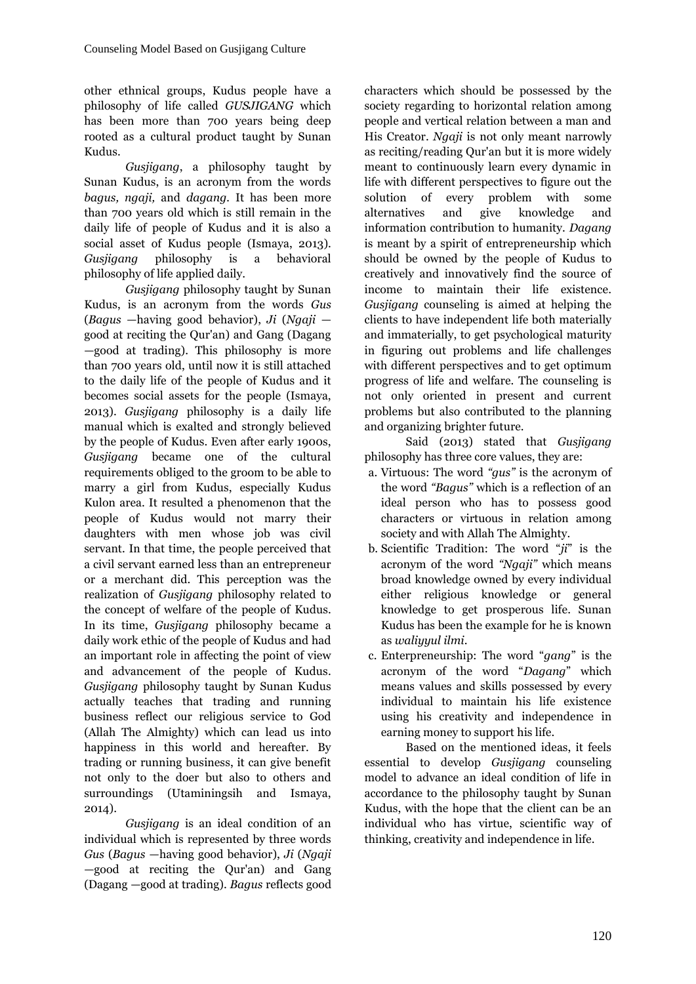other ethnical groups, Kudus people have a philosophy of life called *GUSJIGANG* which has been more than 700 years being deep rooted as a cultural product taught by Sunan Kudus.

*Gusjigang*, a philosophy taught by Sunan Kudus, is an acronym from the words *bagus, ngaji,* and *dagang.* It has been more than 700 years old which is still remain in the daily life of people of Kudus and it is also a social asset of Kudus people (Ismaya, 2013). *Gusjigang* philosophy is a behavioral philosophy of life applied daily.

*Gusjigang* philosophy taught by Sunan Kudus, is an acronym from the words *Gus* (*Bagus* —having good behavior), *Ji* (*Ngaji* good at reciting the Qur'an) and Gang (Dagang —good at trading). This philosophy is more than 700 years old, until now it is still attached to the daily life of the people of Kudus and it becomes social assets for the people (Ismaya, 2013). *Gusjigang* philosophy is a daily life manual which is exalted and strongly believed by the people of Kudus. Even after early 1900s, *Gusjigang* became one of the cultural requirements obliged to the groom to be able to marry a girl from Kudus, especially Kudus Kulon area. It resulted a phenomenon that the people of Kudus would not marry their daughters with men whose job was civil servant. In that time, the people perceived that a civil servant earned less than an entrepreneur or a merchant did. This perception was the realization of *Gusjigang* philosophy related to the concept of welfare of the people of Kudus. In its time, *Gusjigang* philosophy became a daily work ethic of the people of Kudus and had an important role in affecting the point of view and advancement of the people of Kudus. *Gusjigang* philosophy taught by Sunan Kudus actually teaches that trading and running business reflect our religious service to God (Allah The Almighty) which can lead us into happiness in this world and hereafter. By trading or running business, it can give benefit not only to the doer but also to others and surroundings (Utaminingsih and Ismaya, 2014).

*Gusjigang* is an ideal condition of an individual which is represented by three words *Gus* (*Bagus* —having good behavior), *Ji* (*Ngaji* —good at reciting the Qur'an) and Gang (Dagang —good at trading). *Bagus* reflects good characters which should be possessed by the society regarding to horizontal relation among people and vertical relation between a man and His Creator. *Ngaji* is not only meant narrowly as reciting/reading Qur'an but it is more widely meant to continuously learn every dynamic in life with different perspectives to figure out the solution of every problem with some and give knowledge and information contribution to humanity. *Dagang* is meant by a spirit of entrepreneurship which should be owned by the people of Kudus to creatively and innovatively find the source of income to maintain their life existence. *Gusjigang* counseling is aimed at helping the clients to have independent life both materially and immaterially, to get psychological maturity in figuring out problems and life challenges with different perspectives and to get optimum progress of life and welfare. The counseling is not only oriented in present and current problems but also contributed to the planning and organizing brighter future.

Said (2013) stated that *Gusjigang* philosophy has three core values, they are:

- a. Virtuous: The word *"gus"* is the acronym of the word *"Bagus"* which is a reflection of an ideal person who has to possess good characters or virtuous in relation among society and with Allah The Almighty.
- b. Scientific Tradition: The word "*ji*" is the acronym of the word *"Ngaji"* which means broad knowledge owned by every individual either religious knowledge or general knowledge to get prosperous life. Sunan Kudus has been the example for he is known as *waliyyul ilmi*.
- c. Enterpreneurship: The word "*gang*" is the acronym of the word "*Dagang*" which means values and skills possessed by every individual to maintain his life existence using his creativity and independence in earning money to support his life.

Based on the mentioned ideas, it feels essential to develop *Gusjigang* counseling model to advance an ideal condition of life in accordance to the philosophy taught by Sunan Kudus, with the hope that the client can be an individual who has virtue, scientific way of thinking, creativity and independence in life.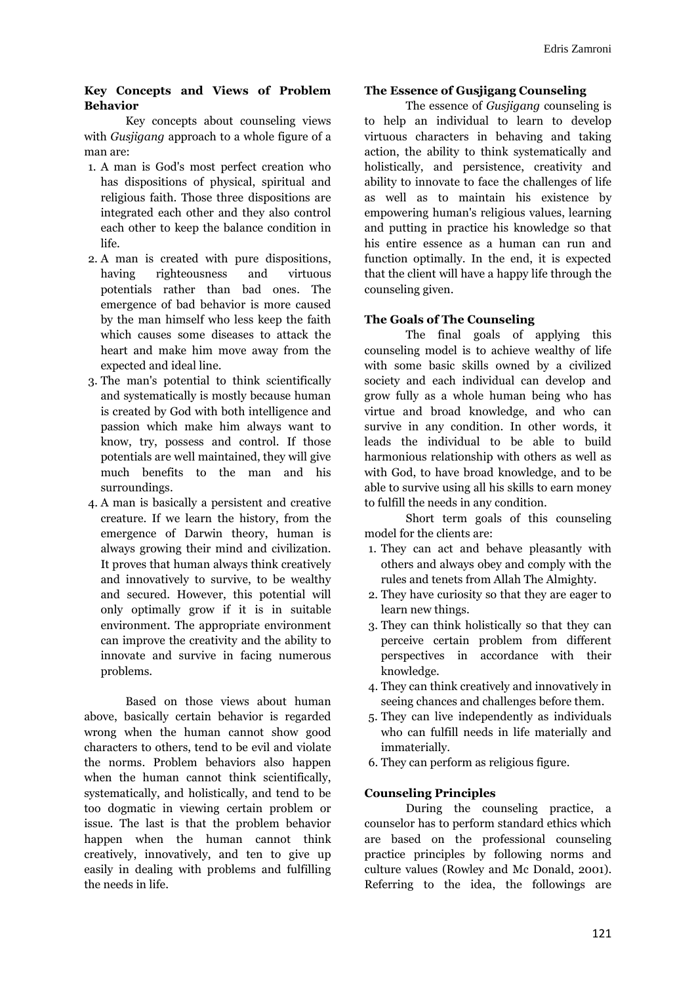#### **Key Concepts and Views of Problem Behavior**

Key concepts about counseling views with *Gusjigang* approach to a whole figure of a man are:

- 1. A man is God's most perfect creation who has dispositions of physical, spiritual and religious faith. Those three dispositions are integrated each other and they also control each other to keep the balance condition in life.
- 2. A man is created with pure dispositions, having righteousness and virtuous potentials rather than bad ones. The emergence of bad behavior is more caused by the man himself who less keep the faith which causes some diseases to attack the heart and make him move away from the expected and ideal line.
- 3. The man's potential to think scientifically and systematically is mostly because human is created by God with both intelligence and passion which make him always want to know, try, possess and control. If those potentials are well maintained, they will give much benefits to the man and his surroundings.
- 4. A man is basically a persistent and creative creature. If we learn the history, from the emergence of Darwin theory, human is always growing their mind and civilization. It proves that human always think creatively and innovatively to survive, to be wealthy and secured. However, this potential will only optimally grow if it is in suitable environment. The appropriate environment can improve the creativity and the ability to innovate and survive in facing numerous problems.

Based on those views about human above, basically certain behavior is regarded wrong when the human cannot show good characters to others, tend to be evil and violate the norms. Problem behaviors also happen when the human cannot think scientifically, systematically, and holistically, and tend to be too dogmatic in viewing certain problem or issue. The last is that the problem behavior happen when the human cannot think creatively, innovatively, and ten to give up easily in dealing with problems and fulfilling the needs in life.

### **The Essence of Gusjigang Counseling**

The essence of *Gusjigang* counseling is to help an individual to learn to develop virtuous characters in behaving and taking action, the ability to think systematically and holistically, and persistence, creativity and ability to innovate to face the challenges of life as well as to maintain his existence by empowering human's religious values, learning and putting in practice his knowledge so that his entire essence as a human can run and function optimally. In the end, it is expected that the client will have a happy life through the counseling given.

# **The Goals of The Counseling**

The final goals of applying this counseling model is to achieve wealthy of life with some basic skills owned by a civilized society and each individual can develop and grow fully as a whole human being who has virtue and broad knowledge, and who can survive in any condition. In other words, it leads the individual to be able to build harmonious relationship with others as well as with God, to have broad knowledge, and to be able to survive using all his skills to earn money to fulfill the needs in any condition.

Short term goals of this counseling model for the clients are:

- 1. They can act and behave pleasantly with others and always obey and comply with the rules and tenets from Allah The Almighty.
- 2. They have curiosity so that they are eager to learn new things.
- 3. They can think holistically so that they can perceive certain problem from different perspectives in accordance with their knowledge.
- 4. They can think creatively and innovatively in seeing chances and challenges before them.
- 5. They can live independently as individuals who can fulfill needs in life materially and immaterially.
- 6. They can perform as religious figure.

### **Counseling Principles**

During the counseling practice, a counselor has to perform standard ethics which are based on the professional counseling practice principles by following norms and culture values (Rowley and Mc Donald, 2001). Referring to the idea, the followings are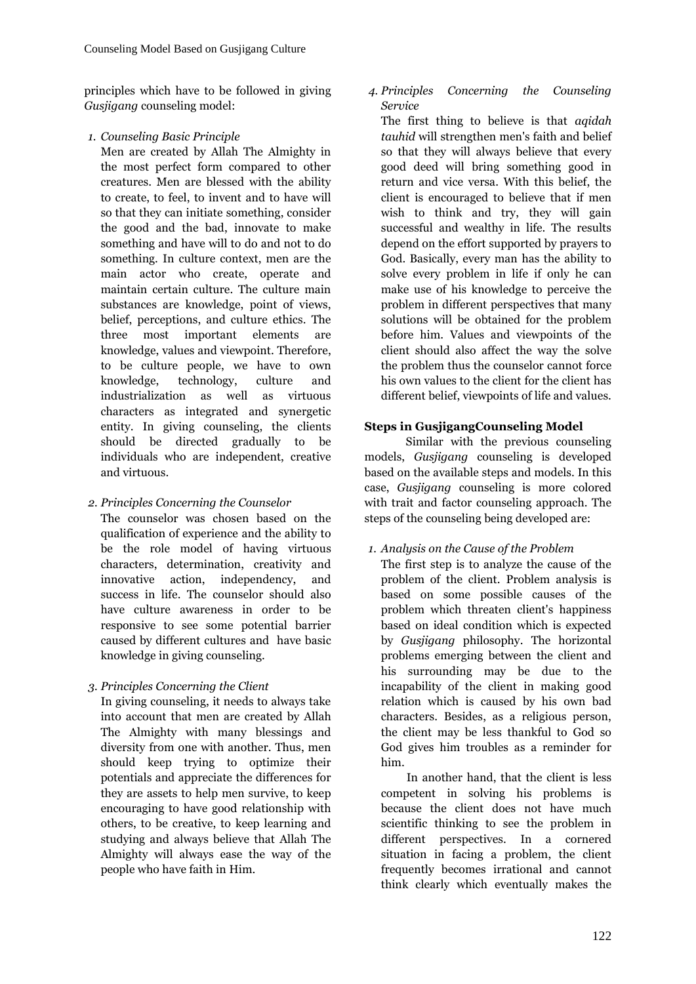principles which have to be followed in giving *Gusjigang* counseling model:

*1. Counseling Basic Principle*

Men are created by Allah The Almighty in the most perfect form compared to other creatures. Men are blessed with the ability to create, to feel, to invent and to have will so that they can initiate something, consider the good and the bad, innovate to make something and have will to do and not to do something. In culture context, men are the main actor who create, operate and maintain certain culture. The culture main substances are knowledge, point of views, belief, perceptions, and culture ethics. The three most important elements are knowledge, values and viewpoint. Therefore, to be culture people, we have to own knowledge, technology, culture and industrialization as well as virtuous characters as integrated and synergetic entity. In giving counseling, the clients should be directed gradually to be individuals who are independent, creative and virtuous.

*2. Principles Concerning the Counselor*

The counselor was chosen based on the qualification of experience and the ability to be the role model of having virtuous characters, determination, creativity and innovative action, independency, and success in life. The counselor should also have culture awareness in order to be responsive to see some potential barrier caused by different cultures and have basic knowledge in giving counseling.

*3. Principles Concerning the Client*

In giving counseling, it needs to always take into account that men are created by Allah The Almighty with many blessings and diversity from one with another. Thus, men should keep trying to optimize their potentials and appreciate the differences for they are assets to help men survive, to keep encouraging to have good relationship with others, to be creative, to keep learning and studying and always believe that Allah The Almighty will always ease the way of the people who have faith in Him.

*4. Principles Concerning the Counseling Service*

The first thing to believe is that *aqidah tauhid* will strengthen men's faith and belief so that they will always believe that every good deed will bring something good in return and vice versa. With this belief, the client is encouraged to believe that if men wish to think and try, they will gain successful and wealthy in life. The results depend on the effort supported by prayers to God. Basically, every man has the ability to solve every problem in life if only he can make use of his knowledge to perceive the problem in different perspectives that many solutions will be obtained for the problem before him. Values and viewpoints of the client should also affect the way the solve the problem thus the counselor cannot force his own values to the client for the client has different belief, viewpoints of life and values.

# **Steps in GusjigangCounseling Model**

Similar with the previous counseling models, *Gusjigang* counseling is developed based on the available steps and models. In this case, *Gusjigang* counseling is more colored with trait and factor counseling approach. The steps of the counseling being developed are:

# *1. Analysis on the Cause of the Problem*

The first step is to analyze the cause of the problem of the client. Problem analysis is based on some possible causes of the problem which threaten client's happiness based on ideal condition which is expected by *Gusjigang* philosophy. The horizontal problems emerging between the client and his surrounding may be due to the incapability of the client in making good relation which is caused by his own bad characters. Besides, as a religious person, the client may be less thankful to God so God gives him troubles as a reminder for him.

In another hand, that the client is less competent in solving his problems is because the client does not have much scientific thinking to see the problem in different perspectives. In a cornered situation in facing a problem, the client frequently becomes irrational and cannot think clearly which eventually makes the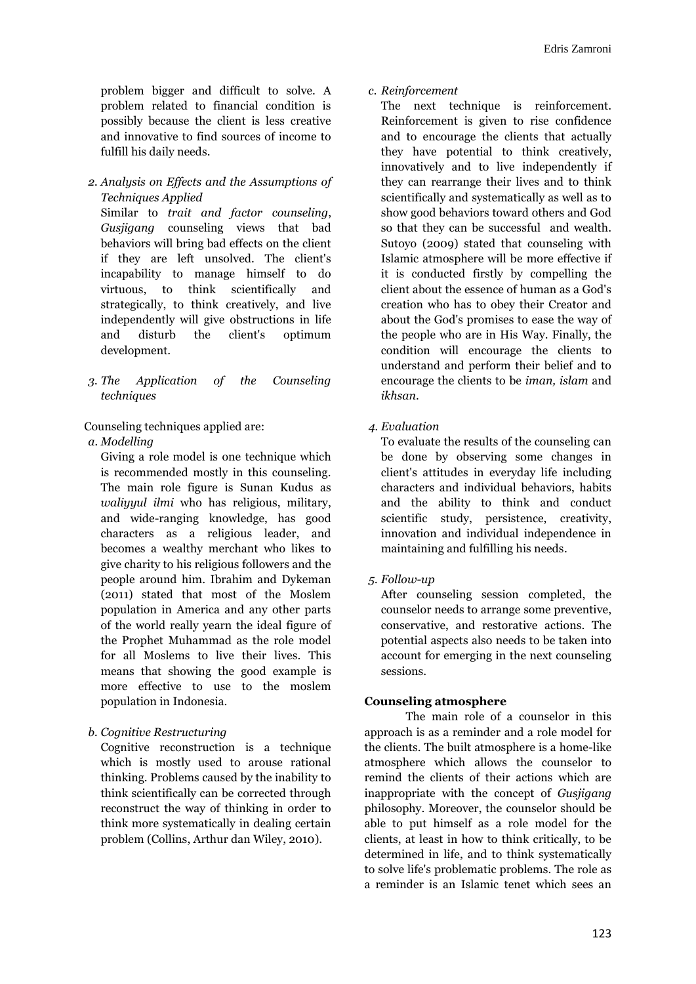problem bigger and difficult to solve. A problem related to financial condition is possibly because the client is less creative and innovative to find sources of income to fulfill his daily needs.

*2. Analysis on Effects and the Assumptions of Techniques Applied*

Similar to *trait and factor counseling*, *Gusjigang* counseling views that bad behaviors will bring bad effects on the client if they are left unsolved. The client's incapability to manage himself to do virtuous, to think scientifically and strategically, to think creatively, and live independently will give obstructions in life and disturb the client's optimum development.

*3. The Application of the Counseling techniques*

Counseling techniques applied are:

#### *a. Modelling*

Giving a role model is one technique which is recommended mostly in this counseling. The main role figure is Sunan Kudus as *waliyyul ilmi* who has religious, military, and wide-ranging knowledge, has good characters as a religious leader, and becomes a wealthy merchant who likes to give charity to his religious followers and the people around him. Ibrahim and Dykeman (2011) stated that most of the Moslem population in America and any other parts of the world really yearn the ideal figure of the Prophet Muhammad as the role model for all Moslems to live their lives. This means that showing the good example is more effective to use to the moslem population in Indonesia.

### *b. Cognitive Restructuring*

Cognitive reconstruction is a technique which is mostly used to arouse rational thinking. Problems caused by the inability to think scientifically can be corrected through reconstruct the way of thinking in order to think more systematically in dealing certain problem (Collins, Arthur dan Wiley, 2010).

*c. Reinforcement*

The next technique is reinforcement. Reinforcement is given to rise confidence and to encourage the clients that actually they have potential to think creatively, innovatively and to live independently if they can rearrange their lives and to think scientifically and systematically as well as to show good behaviors toward others and God so that they can be successful and wealth. Sutoyo (2009) stated that counseling with Islamic atmosphere will be more effective if it is conducted firstly by compelling the client about the essence of human as a God's creation who has to obey their Creator and about the God's promises to ease the way of the people who are in His Way. Finally, the condition will encourage the clients to understand and perform their belief and to encourage the clients to be *iman, islam* and *ikhsan*.

*4. Evaluation*

To evaluate the results of the counseling can be done by observing some changes in client's attitudes in everyday life including characters and individual behaviors, habits and the ability to think and conduct scientific study, persistence, creativity, innovation and individual independence in maintaining and fulfilling his needs.

*5. Follow-up*

After counseling session completed, the counselor needs to arrange some preventive, conservative, and restorative actions. The potential aspects also needs to be taken into account for emerging in the next counseling sessions.

### **Counseling atmosphere**

The main role of a counselor in this approach is as a reminder and a role model for the clients. The built atmosphere is a home-like atmosphere which allows the counselor to remind the clients of their actions which are inappropriate with the concept of *Gusjigang* philosophy. Moreover, the counselor should be able to put himself as a role model for the clients, at least in how to think critically, to be determined in life, and to think systematically to solve life's problematic problems. The role as a reminder is an Islamic tenet which sees an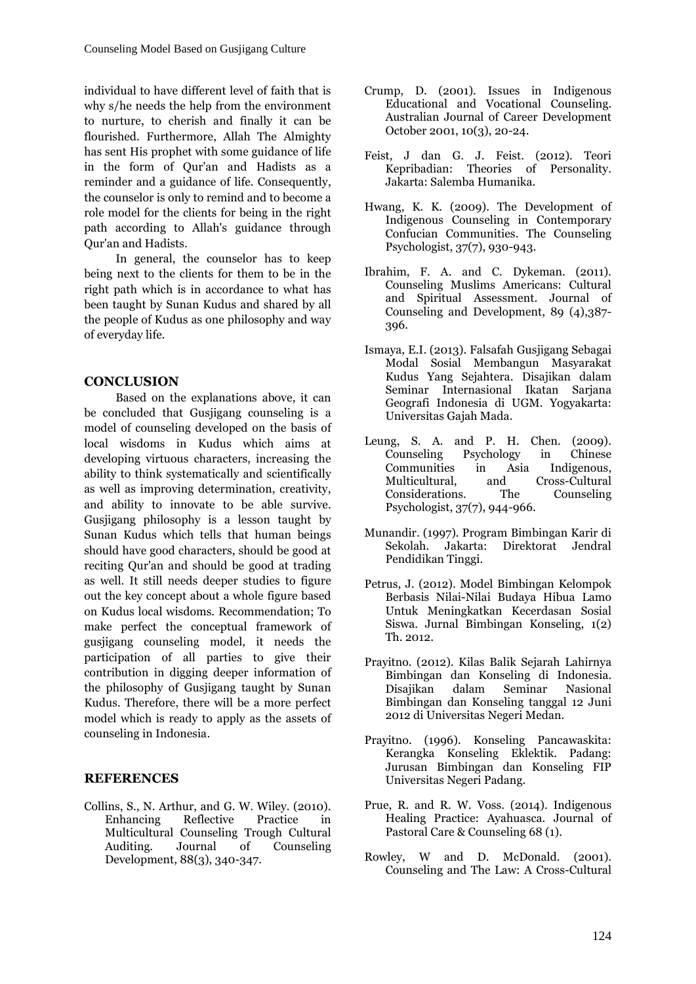individual to have different level of faith that is why s/he needs the help from the environment to nurture, to cherish and finally it can be flourished. Furthermore, Allah The Almighty has sent His prophet with some guidance of life in the form of Qur'an and Hadists as a reminder and a guidance of life. Consequently, the counselor is only to remind and to become a role model for the clients for being in the right path according to Allah's guidance through Qur'an and Hadists.

In general, the counselor has to keep being next to the clients for them to be in the right path which is in accordance to what has been taught by Sunan Kudus and shared by all the people of Kudus as one philosophy and way of everyday life.

# **CONCLUSION**

Based on the explanations above, it can be concluded that Gusjigang counseling is a model of counseling developed on the basis of local wisdoms in Kudus which aims at developing virtuous characters, increasing the ability to think systematically and scientifically as well as improving determination, creativity, and ability to innovate to be able survive. Gusjigang philosophy is a lesson taught by Sunan Kudus which tells that human beings should have good characters, should be good at reciting Qur'an and should be good at trading as well. It still needs deeper studies to figure out the key concept about a whole figure based on Kudus local wisdoms. Recommendation; To make perfect the conceptual framework of gusjigang counseling model, it needs the participation of all parties to give their contribution in digging deeper information of the philosophy of Gusjigang taught by Sunan Kudus. Therefore, there will be a more perfect model which is ready to apply as the assets of counseling in Indonesia.

# **REFERENCES**

Collins, S., N. Arthur, and G. W. Wiley. (2010). Enhancing Reflective Practice in Multicultural Counseling Trough Cultural Auditing. Journal of Counseling Development, 88(3), 340-347.

- Crump, D. (2001). Issues in Indigenous Educational and Vocational Counseling. Australian Journal of Career Development October 2001, 10(3), 20-24.
- Feist, J dan G. J. Feist. (2012). Teori Kepribadian: Theories of Personality. Jakarta: Salemba Humanika.
- Hwang, K. K. (2009). The Development of Indigenous Counseling in Contemporary Confucian Communities. The Counseling Psychologist, 37(7), 930-943.
- Ibrahim, F. A. and C. Dykeman. (2011). Counseling Muslims Americans: Cultural and Spiritual Assessment. Journal of Counseling and Development, 89 (4),387- 396.
- Ismaya, E.I. (2013). Falsafah Gusjigang Sebagai Modal Sosial Membangun Masyarakat Kudus Yang Sejahtera. Disajikan dalam Seminar Internasional Ikatan Sarjana Geografi Indonesia di UGM. Yogyakarta: Universitas Gajah Mada.
- Leung, S. A. and P. H. Chen. (2009).<br>Counseling Psychology in Chinese Counseling Communities in Asia Indigenous, Multicultural, and Cross-Cultural Considerations. The Counseling Psychologist, 37(7), 944-966.
- Munandir. (1997). Program Bimbingan Karir di Sekolah. Jakarta: Direktorat Jendral Pendidikan Tinggi.
- Petrus, J. (2012). Model Bimbingan Kelompok Berbasis Nilai-Nilai Budaya Hibua Lamo Untuk Meningkatkan Kecerdasan Sosial Siswa. Jurnal Bimbingan Konseling, 1(2) Th. 2012.
- Prayitno. (2012). Kilas Balik Sejarah Lahirnya Bimbingan dan Konseling di Indonesia. Disajikan dalam Seminar Nasional Bimbingan dan Konseling tanggal 12 Juni 2012 di Universitas Negeri Medan.
- Prayitno. (1996). Konseling Pancawaskita: Kerangka Konseling Eklektik. Padang: Jurusan Bimbingan dan Konseling FIP Universitas Negeri Padang.
- Prue, R. and R. W. Voss. (2014). Indigenous Healing Practice: Ayahuasca. Journal of Pastoral Care & Counseling 68 (1).
- Rowley, W and D. McDonald. (2001). Counseling and The Law: A Cross-Cultural